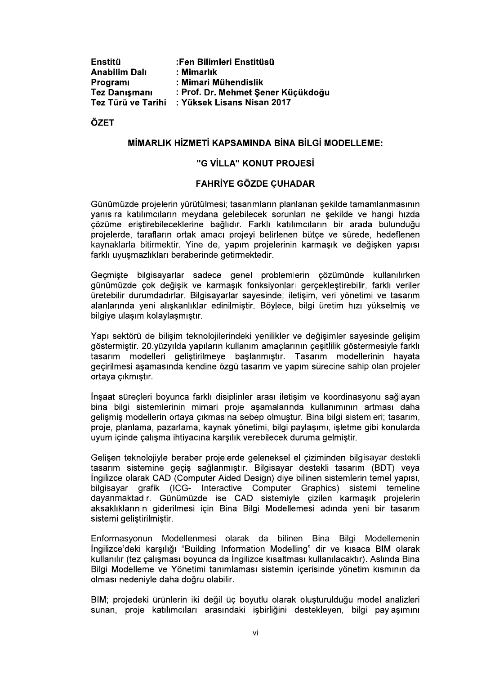| Enstitü              | :Fen Bilimleri Enstitüsü           |
|----------------------|------------------------------------|
| <b>Anabilim Dalı</b> | : Mimarlık                         |
| Programi             | : Mimari Mühendislik               |
| <b>Tez Danışmanı</b> | : Prof. Dr. Mehmet Şener Küçükdoğu |
| Tez Türü ve Tarihi   | : Yüksek Lisans Nisan 2017         |

## ÖZFT

## MİMARLIK HİZMETİ KAPSAMINDA BİNA BİLGİ MODELLEME:

# "G VİLLA" KONUT PROJESİ

## **FAHRİYE GÖZDE CUHADAR**

Günümüzde projelerin yürütülmesi; tasarımların planlanan şekilde tamamlanmasının yanısıra katılımcıların meydana gelebilecek sorunları ne şekilde ve hangi hızda cözüme eristirebileceklerine bağlıdır. Farklı katılımcıların bir arada bulunduğu projelerde, tarafların ortak amacı projevi belirlenen bütce ve sürede, hedeflenen kaynaklarla bitirmektir. Yine de, yapım projelerinin karmaşık ve değişken yapısı farklı uyuşmazlıkları beraberinde getirmektedir.

Geçmişte bilgisayarlar sadece genel problemlerin çözümünde kullanılırken günümüzde çok değişik ve karmaşık fonksiyonları gerçekleştirebilir, farklı veriler üretebilir durumdadırlar. Bilgisayarlar sayesinde; iletisim, veri yönetimi ve tasarım alanlarında yeni alışkanlıklar edinilmiştir. Böylece, bilgi üretim hızı yükselmiş ve bilgiye ulaşım kolaylaşmıştır.

Yapı sektörü de bilişim teknolojilerindeki yenilikler ve değişimler sayesinde gelişim göstermiştir. 20 yüzyılda yapıların kullanım amaçlarının çeşitlilik göstermesiyle farklı tasarım modelleri geliştirilmeye başlanmıştır. Tasarım modellerinin hayata gecirilmesi asamasında kendine özgü tasarım ve yapım sürecine sahip olan projeler ortaya çıkmıştır.

İnşaat süreçleri boyunca farklı disiplinler arası iletişim ve koordinasyonu sağlayan bina bilgi sistemlerinin mimari proje asamalarında kullanımının artması daha gelismis modellerin ortaya çıkmasına sebep olmuştur. Bina bilgi sistemleri; tasarım, proje, planlama, pazarlama, kavnak vönetimi, bilgi pavlasımı, isletme gibi konularda uyum içinde çalışma ihtiyacına karşılık verebilecek duruma gelmiştir.

Gelişen teknolojiyle beraber projelerde geleneksel el çiziminden bilgisayar destekli<br>tasarım sistemine geçiş sağlanmıştır. Bilgisayar destekli tasarım (BDT) veya Ingilizce olarak CAD (Computer Aided Design) diye bilinen sistemlerin temel yapısı, bilgisayar grafik (ICG- Interactive Computer Graphics) sistemi temeline dayanmaktadır. Günümüzde ise CAD sistemiyle çizilen karmaşık projelerin<br>aksaklıklarının giderilmesi için Bina Bilgi Modellemesi adında yeni bir tasarım sistemi geliştirilmiştir.

Enformasyonun Modellenmesi olarak da bilinen Bina Bilgi Modellemenin<br>İngilizce'deki karşılığı "Building Information Modelling" dir ve kısaca BIM olarak kullanılır (tez calışması boyunca da İngilizce kısaltması kullanılacaktır). Aslında Bina Bilgi Modelleme ve Yönetimi tanımlaması sistemin icerisinde yönetim kısmının da olması nedeniyle daha doğru olabilir.

BIM; projedeki ürünlerin iki değil üç boyutlu olarak oluşturulduğu model analizleri sunan, proje katılımcıları arasındaki isbirliğini destekleven, bilgi paylasımını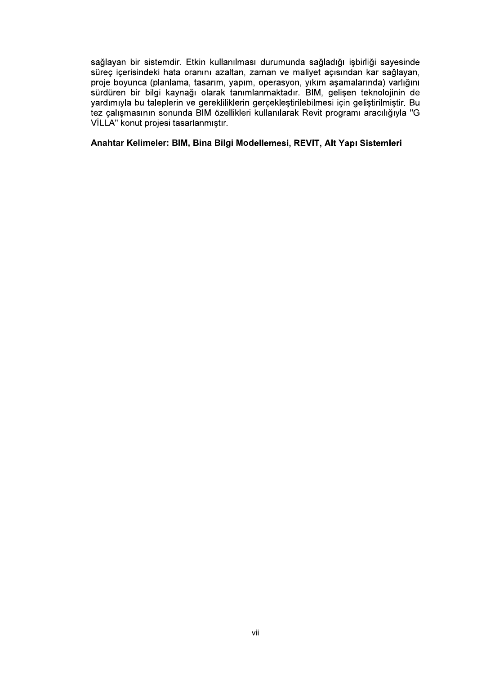sağlayan bir sistemdir. Etkin kullanılması durumunda sağladığı işbirliği sayesinde süreç içerisindeki hata oranını azaltan, zaman ve maliyet açısından kar sağlayan, proje boyunca (planlama, tasarım, yapım, operasyon, yıkım aşamalarında) varlığını sürdüren bir bilgi kaynağı olarak tanımlanmaktadır. BIM, gelişen teknolojinin de yardımıyla bu taleplerin ve gerekliliklerin gerçekleştirilebilmesi için geliştirilmiştir. Bu tez çalışmasının sonunda BIM özellikleri kullanılarak Revit programı aracılığıyla "G VILLA" konut projesi tasarlanmıştır.

## Anahtar Kelimeler: BIM, Bina Bilgi Modellemesi, REVIT, Alt Yapı Sistemleri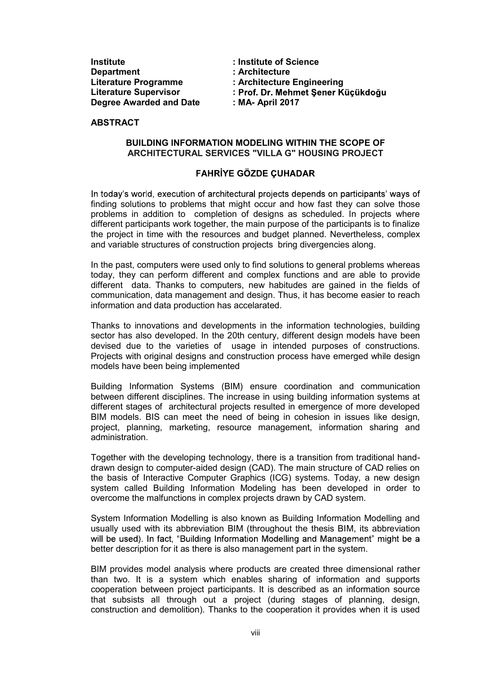| <b>Institute</b>               |
|--------------------------------|
| <b>Department</b>              |
| Literature Programme           |
| <b>Literature Supervisor</b>   |
| <b>Degree Awarded and Date</b> |

Institute : Institute : Institute of Science<br>Department : Architecture : Architecture<br>Literature Programme : Architecture Engineering<br>Literature Supervisor : Prof. Dr. Mehmet Şener Küçükdoğu<br>Degree Awarded and Date : MA- A : Architecture : Architecture Engineering : Prof. Dr. Mehmet Sener Küçükdoğu : MA- April 2017

## ABSTRACT

#### BUILDING INFORMATION MODELING WITHIN THE SCOPE OF ARCHITECTURAL SERVICES "VILLA G" HOUSING PROJECT

# **FAHRİYE GÖZDE CUHADAR**

In today's world, execution of architectural projects depends on participants' ways of finding solutions to problems that might occur and how fast they can solve those problems in addition to completion of designs as scheduled. In projects where different participants work together, the main purpose of the participants is to finalize the project in time with the resources and budget planned. Nevertheless, complex and variable structures of construction projects bring divergencies along.

In the past, computers were used only to find solutions to general problems whereas today, they can perform different and complex functions and are able to provide different data. Thanks to computers, new habitudes are gained in the fields of communication, data management and design. Thus, it has become easier to reach information and data production has accelarated.

Thanks to innovations and developments in the information technologies, building sector has also developed. In the 20th century, different design models have been devised due to the varieties of usage in intended purposes of constructions. Projects with original designs and construction process have emerged while design models have been being implemented

Building Information Systems (BIM) ensure coordination and communication between different disciplines. The increase in using building information systems at different stages of architectural projects resulted in emergence of more developed BIM models. BIS can meet the need of being in cohesion in issues like design, project, planning, marketing, resource management, information sharing and administration.

Together with the developing technology, there is a transition from traditional handdrawn design to computer-aided design (CAD). The main structure of CAD relies on the basis of Interactive Computer Graphics (ICG) systems. Today, a new design system called Building Information Modeling has been developed in order to overcome the malfunctions in complex projects drawn by CAD system.

System Information Modelling is also known as Building Information Modelling and usually used with its abbreviation BIM (throughout the thesis BIM, its abbreviation will be used). In fact, "Building Information Modelling and Management" might be a better description for it as there is also management part in the system.

BIM provides model analysis where products are created three dimensional rather than two. It is a system which enables sharing of information and supports cooperation between project participants. It is described as an information source that subsists all through out a project (during stages of planning, design, construction and demolition). Thanks to the cooperation it provides when it is used